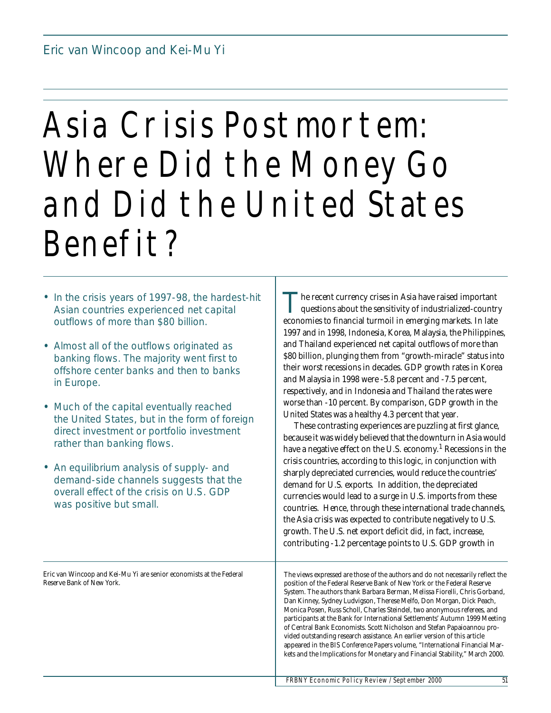# Asia Crisis Postmortem: Where Did the Money Go and Did the United States Benefit?

- In the crisis years of 1997-98, the hardest-hit Asian countries experienced net capital outflows of more than \$80 billion.
- Almost all of the outflows originated as banking flows. The majority went first to offshore center banks and then to banks in Europe.
- Much of the capital eventually reached the United States, but in the form of foreign direct investment or portfolio investment rather than banking flows.
- An equilibrium analysis of supply- and demand-side channels suggests that the overall effect of the crisis on U.S. GDP was positive but small.

The recent currency crises in Asia have raised important<br>questions about the sensitivity of industrialized-country<br>proportion for the country consistent in the late questions about the sensitivity of industrialized-country economies to financial turmoil in emerging markets. In late 1997 and in 1998, Indonesia, Korea, Malaysia, the Philippines, and Thailand experienced net capital outflows of more than \$80 billion, plunging them from "growth-miracle" status into their worst recessions in decades. GDP growth rates in Korea and Malaysia in 1998 were -5.8 percent and -7.5 percent, respectively, and in Indonesia and Thailand the rates were worse than -10 percent. By comparison, GDP growth in the United States was a healthy 4.3 percent that year.

These contrasting experiences are puzzling at first glance, because it was widely believed that the downturn in Asia would have a negative effect on the U.S. economy. $^1$  Recessions in the crisis countries, according to this logic, in conjunction with sharply depreciated currencies, would reduce the countries' demand for U.S. exports. In addition, the depreciated currencies would lead to a surge in U.S. imports from these countries. Hence, through these international trade channels, the Asia crisis was expected to contribute negatively to U.S. growth. The U.S. net export deficit did, in fact, increase, contributing -1.2 percentage points to U.S. GDP growth in

Eric van Wincoop and Kei-Mu Yi are senior economists at the Federal Reserve Bank of New York.

The views expressed are those of the authors and do not necessarily reflect the position of the Federal Reserve Bank of New York or the Federal Reserve System. The authors thank Barbara Berman, Melissa Fiorelli, Chris Gorband, Dan Kinney, Sydney Ludvigson, Therese Melfo, Don Morgan, Dick Peach, Monica Posen, Russ Scholl, Charles Steindel, two anonymous referees, and participants at the Bank for International Settlements' Autumn 1999 Meeting of Central Bank Economists. Scott Nicholson and Stefan Papaioannou provided outstanding research assistance. An earlier version of this article appeared in the *BIS Conference Papers* volume, "International Financial Markets and the Implications for Monetary and Financial Stability," March 2000.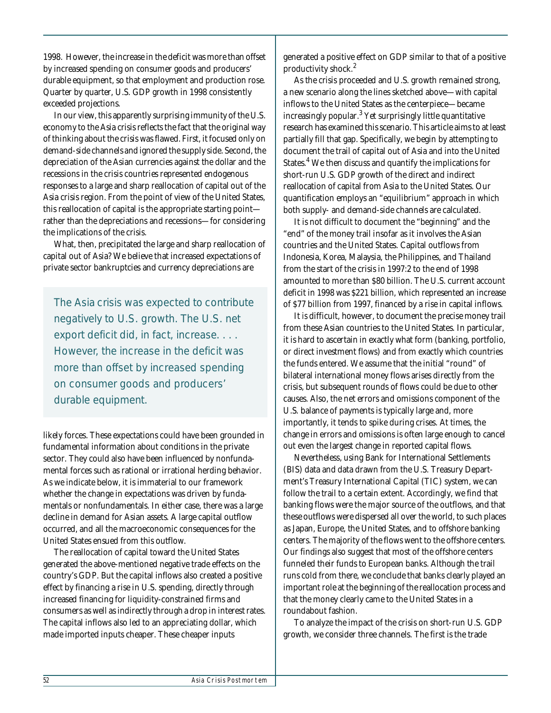1998. However, the increase in the deficit was more than offset by increased spending on consumer goods and producers' durable equipment, so that employment and production rose. Quarter by quarter, U.S. GDP growth in 1998 consistently exceeded projections.

In our view, this apparently surprising immunity of the U.S. economy to the Asia crisis reflects the fact that the original way of thinking about the crisis was flawed. First, it focused only on demand-side channels and ignored the supply side. Second, the depreciation of the Asian currencies against the dollar and the recessions in the crisis countries represented endogenous responses to a large and sharp reallocation of capital out of the Asia crisis region. From the point of view of the United States, this reallocation of capital is the appropriate starting point rather than the depreciations and recessions—for considering the implications of the crisis.

What, then, precipitated the large and sharp reallocation of capital out of Asia? We believe that increased expectations of private sector bankruptcies and currency depreciations are

*The Asia crisis was expected to contribute negatively to U.S. growth. The U.S. net export deficit did, in fact, increase. . . . However, the increase in the deficit was more than offset by increased spending on consumer goods and producers' durable equipment.*

likely forces. These expectations could have been grounded in fundamental information about conditions in the private sector. They could also have been influenced by nonfundamental forces such as rational or irrational herding behavior. As we indicate below, it is immaterial to our framework whether the change in expectations was driven by fundamentals or nonfundamentals. In either case, there was a large decline in demand for Asian assets. A large capital outflow occurred, and all the macroeconomic consequences for the United States ensued from this outflow.

The reallocation of capital toward the United States generated the above-mentioned negative trade effects on the country's GDP. But the capital inflows also created a positive effect by financing a rise in U.S. spending, directly through increased financing for liquidity-constrained firms and consumers as well as indirectly through a drop in interest rates. The capital inflows also led to an appreciating dollar, which made imported inputs cheaper. These cheaper inputs

generated a positive effect on GDP similar to that of a positive productivity shock.<sup>2</sup>

As the crisis proceeded and U.S. growth remained strong, a new scenario along the lines sketched above—with capital inflows to the United States as the centerpiece—became increasingly popular. $^3$  Yet surprisingly little quantitative research has examined this scenario. This article aims to at least partially fill that gap. Specifically, we begin by attempting to document the trail of capital out of Asia and into the United States.<sup>4</sup> We then discuss and quantify the implications for short-run U.S. GDP growth of the direct and indirect reallocation of capital from Asia to the United States. Our quantification employs an "equilibrium" approach in which both supply- and demand-side channels are calculated.

It is not difficult to document the "beginning" and the "end" of the money trail insofar as it involves the Asian countries and the United States. Capital outflows from Indonesia, Korea, Malaysia, the Philippines, and Thailand from the start of the crisis in 1997:2 to the end of 1998 amounted to more than \$80 billion. The U.S. current account deficit in 1998 was \$221 billion, which represented an increase of \$77 billion from 1997, financed by a rise in capital inflows.

It *is* difficult, however, to document the precise money trail from these Asian countries to the United States. In particular, it is hard to ascertain in exactly what form (banking, portfolio, or direct investment flows) and from exactly which countries the funds entered. We assume that the initial "round" of bilateral international money flows arises directly from the crisis, but subsequent rounds of flows could be due to other causes. Also, the net errors and omissions component of the U.S. balance of payments is typically large and, more importantly, it tends to spike during crises. At times, the change in errors and omissions is often large enough to cancel out even the largest change in reported capital flows.

Nevertheless, using Bank for International Settlements (BIS) data and data drawn from the U.S. Treasury Department's Treasury International Capital (TIC) system, we can follow the trail to a certain extent. Accordingly, we find that banking flows were the major source of the outflows, and that these outflows were dispersed all over the world, to such places as Japan, Europe, the United States, and to offshore banking centers. The majority of the flows went to the offshore centers. Our findings also suggest that most of the offshore centers funneled their funds to European banks. Although the trail runs cold from there, we conclude that banks clearly played an important role at the beginning of the reallocation process and that the money clearly came to the United States in a roundabout fashion.

To analyze the impact of the crisis on short-run U.S. GDP growth, we consider three channels. The first is the trade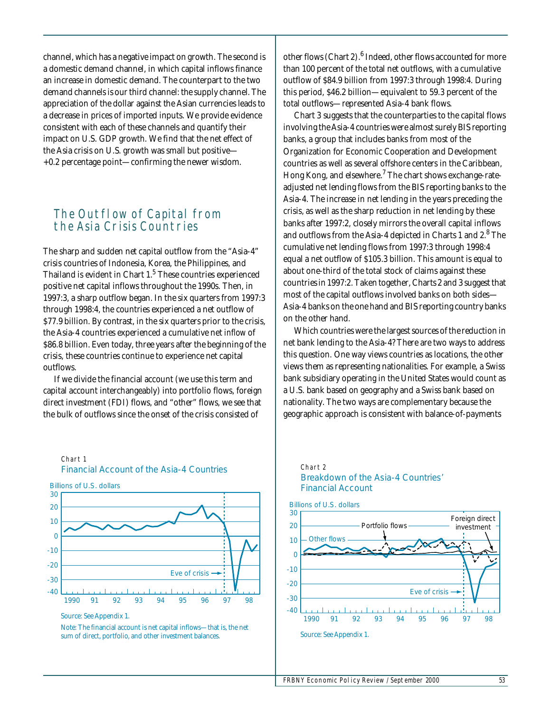channel, which has a negative impact on growth. The second is a domestic demand channel, in which capital inflows finance an increase in domestic demand. The counterpart to the two demand channels is our third channel: the supply channel. The appreciation of the dollar against the Asian currencies leads to a decrease in prices of imported inputs. We provide evidence consistent with each of these channels and quantify their impact on U.S. GDP growth. We find that the net effect of the Asia crisis on U.S. growth was small but positive— +0.2 percentage point—confirming the newer wisdom.

## The Outflow of Capital from the Asia Crisis Countries

The sharp and sudden net capital outflow from the "Asia-4" crisis countries of Indonesia, Korea, the Philippines, and Thailand is evident in Chart  $1.^5$  These countries experienced positive net capital inflows throughout the 1990s. Then, in 1997:3, a sharp outflow began. In the six quarters from 1997:3 through 1998:4, the countries experienced a net outflow of \$77.9 billion. By contrast, in the six quarters prior to the crisis, the Asia-4 countries experienced a cumulative net *inflow* of \$86.8 billion. Even today, three years after the beginning of the crisis, these countries continue to experience net capital outflows.

If we divide the financial account (we use this term and capital account interchangeably) into portfolio flows, foreign direct investment (FDI) flows, and "other" flows, we see that the bulk of outflows since the onset of the crisis consisted of



#### Chart 1 Financial Account of the Asia-4 Countries

Source: See Appendix 1.

Note: The financial account is net capital inflows—that is, the net sum of direct, portfolio, and other investment balances.

other flows (Chart 2).<sup>6</sup> Indeed, other flows accounted for more than 100 percent of the total net outflows, with a cumulative outflow of \$84.9 billion from 1997:3 through 1998:4. During this period, \$46.2 billion—equivalent to 59.3 percent of the total outflows—represented Asia-4 bank flows.

Chart 3 suggests that the counterparties to the capital flows involving the Asia-4 countries were almost surely BIS reporting banks, a group that includes banks from most of the Organization for Economic Cooperation and Development countries as well as several offshore centers in the Caribbean, Hong Kong, and elsewhere.<sup>7</sup> The chart shows exchange-rateadjusted net lending flows from the BIS reporting banks to the Asia-4. The increase in net lending in the years preceding the crisis, as well as the sharp reduction in net lending by these banks after 1997:2, closely mirrors the overall capital inflows and outflows from the Asia-4 depicted in Charts 1 and 2.8 The cumulative net lending flows from 1997:3 through 1998:4 equal a net outflow of \$105.3 billion. This amount is equal to about one-third of the total stock of claims against these countries in 1997:2. Taken together, Charts 2 and 3 suggest that most of the capital outflows involved banks on both sides— Asia-4 banks on the one hand and BIS reporting country banks on the other hand.

Which countries were the largest sources of the reduction in net bank lending to the Asia-4? There are two ways to address this question. One way views countries as locations, the other views them as representing nationalities. For example, a Swiss bank subsidiary operating in the United States would count as a U.S. bank based on geography and a Swiss bank based on nationality. The two ways are complementary because the geographic approach is consistent with balance-of-payments

#### Chart 2 Breakdown of the Asia-4 Countries' Financial Account

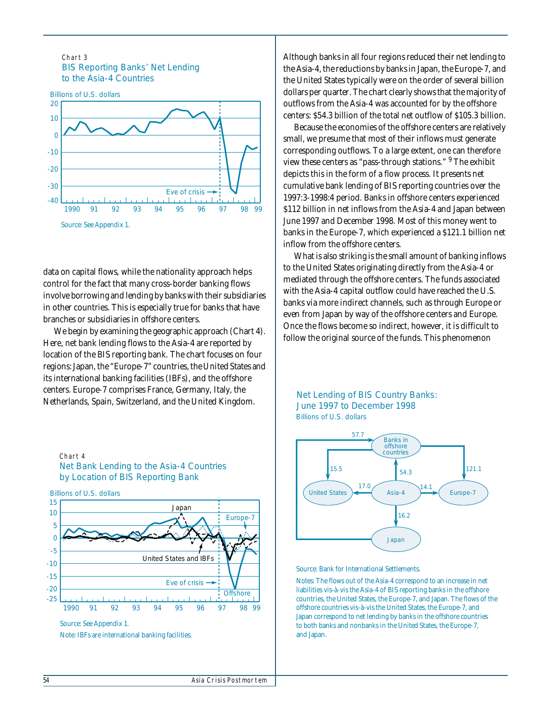#### Chart 3 BIS Reporting Banks' Net Lending to the Asia-4 Countries



data on capital flows, while the nationality approach helps control for the fact that many cross-border banking flows involve borrowing and lending by banks with their subsidiaries in other countries. This is especially true for banks that have branches or subsidiaries in offshore centers.

We begin by examining the geographic approach (Chart 4). Here, net bank lending flows to the Asia-4 are reported by location of the BIS reporting bank. The chart focuses on four regions: Japan, the "Europe-7" countries, the United States and its international banking facilities (IBFs), and the offshore centers. Europe-7 comprises France, Germany, Italy, the Netherlands, Spain, Switzerland, and the United Kingdom.



Net Bank Lending to the Asia-4 Countries

Source: See Appendix 1.

Chart 4

Note: IBFs are international banking facilities.

Although banks in all four regions reduced their net lending to the Asia-4, the reductions by banks in Japan, the Europe-7, and the United States typically were on the order of several billion dollars per quarter. The chart clearly shows that the majority of outflows from the Asia-4 was accounted for by the offshore centers: \$54.3 billion of the total net outflow of \$105.3 billion.

Because the economies of the offshore centers are relatively small, we presume that most of their inflows must generate corresponding outflows. To a large extent, one can therefore view these centers as "pass-through stations." <sup>9</sup> The exhibit depicts this in the form of a flow process. It presents net cumulative bank lending of BIS reporting countries over the 1997:3-1998:4 period. Banks in offshore centers experienced \$112 billion in net inflows from the Asia-4 and Japan between June 1997 and December 1998. Most of this money went to banks in the Europe-7, which experienced a \$121.1 billion net inflow from the offshore centers.

What is also striking is the small amount of banking inflows to the United States originating directly from the Asia-4 or mediated through the offshore centers. The funds associated with the Asia-4 capital outflow could have reached the U.S. banks via more indirect channels, such as through Europe or even from Japan by way of the offshore centers and Europe. Once the flows become so indirect, however, it is difficult to follow the original source of the funds. This phenomenon

Net Lending of BIS Country Banks: June 1997 to December 1998 Billions of U.S. dollars



Source: Bank for International Settlements.

Notes: The flows out of the Asia-4 correspond to an increase in net liabilities vis-à-vis the Asia-4 of BIS reporting banks in the offshore countries, the United States, the Europe-7, and Japan. The flows of the offshore countries vis-à-vis the United States, the Europe-7, and Japan correspond to net lending by banks in the offshore countries to both banks and nonbanks in the United States, the Europe-7, and Japan.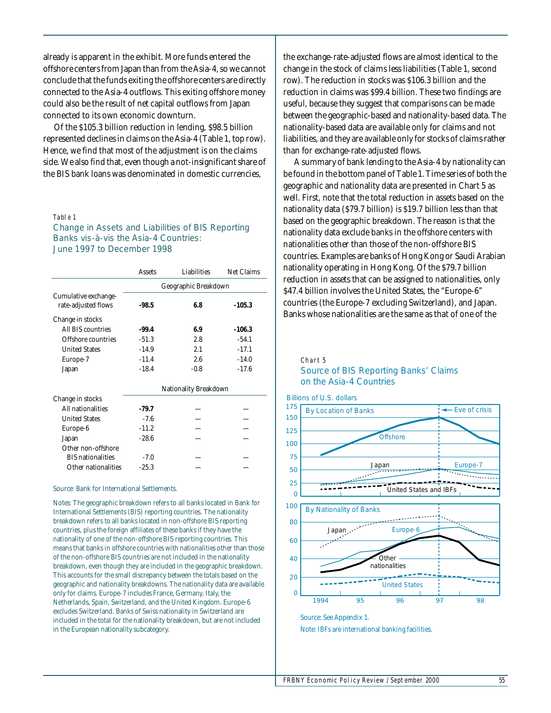already is apparent in the exhibit. More funds entered the offshore centers from Japan than from the Asia-4, so we cannot conclude that the funds exiting the offshore centers are directly connected to the Asia-4 outflows. This exiting offshore money could also be the result of net capital outflows from Japan connected to its own economic downturn.

Of the \$105.3 billion reduction in lending, \$98.5 billion represented declines in claims on the Asia-4 (Table 1, top row). Hence, we find that most of the adjustment is on the claims side. We also find that, even though a not-insignificant share of the BIS bank loans was denominated in domestic currencies,

#### Table 1

Change in Assets and Liabilities of BIS Reporting Banks vis-à-vis the Asia-4 Countries: June 1997 to December 1998

|                                             | <b>Assets</b>         | Liabilities | <b>Net Claims</b> |
|---------------------------------------------|-----------------------|-------------|-------------------|
|                                             | Geographic Breakdown  |             |                   |
| Cumulative exchange-<br>rate-adjusted flows | $-98.5$               | 6.8         | $-105.3$          |
| Change in stocks                            |                       |             |                   |
| All BIS countries                           | $-99.4$               | 6.9         | $-106.3$          |
| Offshore countries                          | $-51.3$               | 2.8         | $-54.1$           |
| <b>United States</b>                        | $-14.9$               | 2.1         | $-17.1$           |
| Europe-7                                    | $-11.4$               | 2.6         | $-14.0$           |
| Japan                                       | $-18.4$               | $-0.8$      | $-17.6$           |
|                                             | Nationality Breakdown |             |                   |
| Change in stocks                            |                       |             |                   |
| All nationalities                           | $-79.7$               |             |                   |
| <b>United States</b>                        | $-7.6$                |             |                   |
| Europe-6                                    | $-11.2$               |             |                   |
| Japan                                       | $-28.6$               |             |                   |
| Other non-offshore                          |                       |             |                   |
| <b>BIS</b> nationalities                    | $-7.0$                |             |                   |
| Other nationalities                         | $-25.3$               |             |                   |

Source: Bank for International Settlements.

Notes: The geographic breakdown refers to all banks located in Bank for International Settlements (BIS) reporting countries. The nationality breakdown refers to all banks located in non-offshore BIS reporting countries, plus the foreign affiliates of these banks if they have the nationality of one of the non-offshore BIS reporting countries. This means that banks in offshore countries with nationalities other than those of the non-offshore BIS countries are not included in the nationality breakdown, even though they are included in the geographic breakdown. This accounts for the small discrepancy between the totals based on the geographic and nationality breakdowns. The nationality data are available only for claims. Europe-7 includes France, Germany, Italy, the Netherlands, Spain, Switzerland, and the United Kingdom. Europe-6 excludes Switzerland. Banks of Swiss nationality in Switzerland are included in the total for the nationality breakdown, but are not included in the European nationality subcategory.

the exchange-rate-adjusted flows are almost identical to the change in the stock of claims less liabilities (Table 1, second row). The reduction in stocks was \$106.3 billion and the reduction in claims was \$99.4 billion. These two findings are useful, because they suggest that comparisons can be made between the geographic-based and nationality-based data. The nationality-based data are available only for claims and not liabilities, and they are available only for stocks of claims rather than for exchange-rate-adjusted flows.

A summary of bank lending to the Asia-4 by nationality can be found in the bottom panel of Table 1. Time series of both the geographic and nationality data are presented in Chart 5 as well. First, note that the total reduction in assets based on the nationality data (\$79.7 billion) is \$19.7 billion less than that based on the geographic breakdown. The reason is that the nationality data exclude banks in the offshore centers with nationalities other than those of the non-offshore BIS countries. Examples are banks of Hong Kong or Saudi Arabian nationality operating in Hong Kong. Of the \$79.7 billion reduction in assets that can be assigned to nationalities, only \$47.4 billion involves the United States, the "Europe-6" countries (the Europe-7 excluding Switzerland), and Japan. Banks whose nationalities are the same as that of one of the

#### Chart 5 Source of BIS Reporting Banks' Claims on the Asia-4 Countries



Source: See Appendix 1.

Note: IBFs are international banking facilities.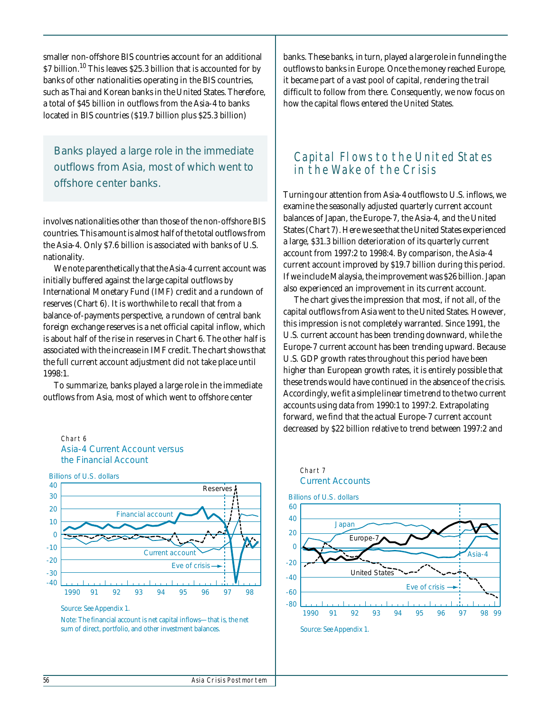smaller non-offshore BIS countries account for an additional \$7 billion.<sup>10</sup> This leaves \$25.3 billion that is accounted for by banks of other nationalities operating in the BIS countries, such as Thai and Korean banks in the United States. Therefore, a total of \$45 billion in outflows from the Asia-4 to banks located in BIS countries (\$19.7 billion plus \$25.3 billion)

*Banks played a large role in the immediate outflows from Asia, most of which went to offshore center banks.*

involves nationalities other than those of the non-offshore BIS countries. This amount is almost half of the total outflows from the Asia-4. Only \$7.6 billion is associated with banks of U.S. nationality.

We note parenthetically that the Asia-4 current account was initially buffered against the large capital outflows by International Monetary Fund (IMF) credit and a rundown of reserves (Chart 6). It is worthwhile to recall that from a balance-of-payments perspective, a rundown of central bank foreign exchange reserves is a net official capital inflow, which is about half of the rise in reserves in Chart 6. The other half is associated with the increase in IMF credit. The chart shows that the full current account adjustment did not take place until 1998:1.

To summarize, banks played a large role in the immediate outflows from Asia, most of which went to offshore center

Asia-4 Current Account versus



Source: See Appendix 1.

Chart 6

Note: The financial account is net capital inflows—that is, the net sum of direct, portfolio, and other investment balances.

banks. These banks, in turn, played a large role in funneling the outflows to banks in Europe. Once the money reached Europe, it became part of a vast pool of capital, rendering the trail difficult to follow from there. Consequently, we now focus on how the capital flows entered the United States.

## Capital Flows to the United States in the Wake of the Crisis

Turning our attention from Asia-4 outflows to U.S. inflows, we examine the seasonally adjusted quarterly current account balances of Japan, the Europe-7, the Asia-4, and the United States (Chart 7). Here we see that the United States experienced a large, \$31.3 billion deterioration of its quarterly current account from 1997:2 to 1998:4. By comparison, the Asia-4 current account improved by \$19.7 billion during this period. If we include Malaysia, the improvement was \$26 billion. Japan also experienced an improvement in its current account.

The chart gives the impression that most, if not all, of the capital outflows from Asia went to the United States. However, this impression is not completely warranted. Since 1991, the U.S. current account has been trending downward, while the Europe-7 current account has been trending upward. Because U.S. GDP growth rates throughout this period have been higher than European growth rates, it is entirely possible that these trends would have continued in the absence of the crisis. Accordingly, we fit a simple linear time trend to the two current accounts using data from 1990:1 to 1997:2. Extrapolating forward, we find that the actual Europe-7 current account decreased by \$22 billion relative to trend between 1997:2 and



Chart 7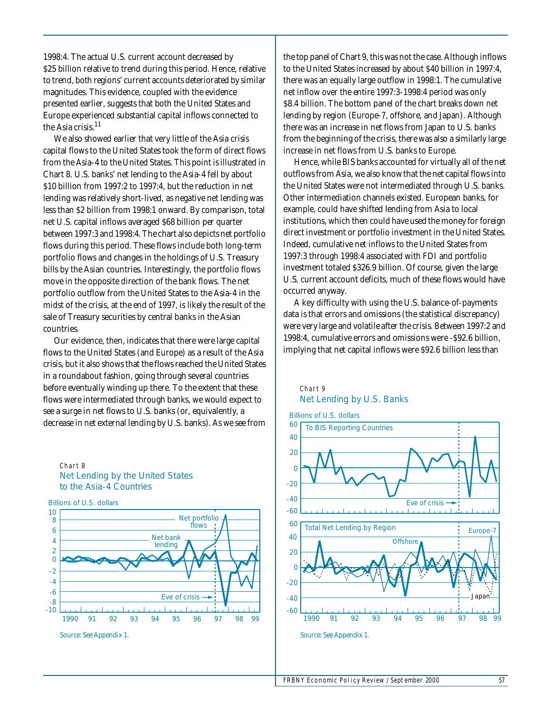1998:4. The actual U.S. current account decreased by \$25 billion relative to trend during this period. Hence, relative to trend, both regions' current accounts deteriorated by similar magnitudes. This evidence, coupled with the evidence presented earlier, suggests that both the United States and Europe experienced substantial capital inflows connected to the Asia crisis. $<sup>11</sup>$ </sup>

We also showed earlier that very little of the Asia crisis capital flows to the United States took the form of direct flows from the Asia-4 to the United States. This point is illustrated in Chart 8. U.S. banks' net lending to the Asia-4 fell by about \$10 billion from 1997:2 to 1997:4, but the reduction in net lending was relatively short-lived, as negative net lending was less than \$2 billion from 1998:1 onward. By comparison, total net U.S. capital inflows averaged \$68 billion per quarter between 1997:3 and 1998:4. The chart also depicts net portfolio flows during this period. These flows include both long-term portfolio flows and changes in the holdings of U.S. Treasury bills by the Asian countries. Interestingly, the portfolio flows move in the opposite direction of the bank flows. The net portfolio outflow from the United States to the Asia-4 in the midst of the crisis, at the end of 1997, is likely the result of the sale of Treasury securities by central banks in the Asian countries.

Our evidence, then, indicates that there were large capital flows to the United States (and Europe) as a result of the Asia crisis, but it also shows that the flows reached the United States in a roundabout fashion, going through several countries before eventually winding up there. To the extent that these flows were intermediated through banks, we would expect to see a surge in net flows to U.S. banks (or, equivalently, a decrease in net external lending by U.S. banks). As we see from

#### Chart 8 Net Lending by the United States to the Asia-4 Countries



the top panel of Chart 9, this was not the case. Although inflows to the United States increased by about \$40 billion in 1997:4, there was an equally large outflow in 1998:1. The cumulative net inflow over the entire 1997:3-1998:4 period was only \$8.4 billion. The bottom panel of the chart breaks down net lending by region (Europe-7, offshore, and Japan). Although there was an increase in net flows from Japan to U.S. banks from the beginning of the crisis, there was also a similarly large increase in net flows from U.S. banks to Europe.

Hence, while BIS banks accounted for virtually all of the net outflows from Asia, we also know that the net capital flows into the United States were not intermediated through U.S. banks. Other intermediation channels existed. European banks, for example, could have shifted lending from Asia to local institutions, which then could have used the money for foreign direct investment or portfolio investment in the United States. Indeed, cumulative net inflows to the United States from 1997:3 through 1998:4 associated with FDI and portfolio investment totaled \$326.9 billion. Of course, given the large U.S. current account deficits, much of these flows would have occurred anyway.

A key difficulty with using the U.S. balance-of-payments data is that errors and omissions (the statistical discrepancy) were very large and volatile after the crisis. Between 1997:2 and 1998:4, cumulative errors and omissions were -\$92.6 billion, implying that net capital inflows were \$92.6 billion less than



Chart 9 Net Lending by U.S. Banks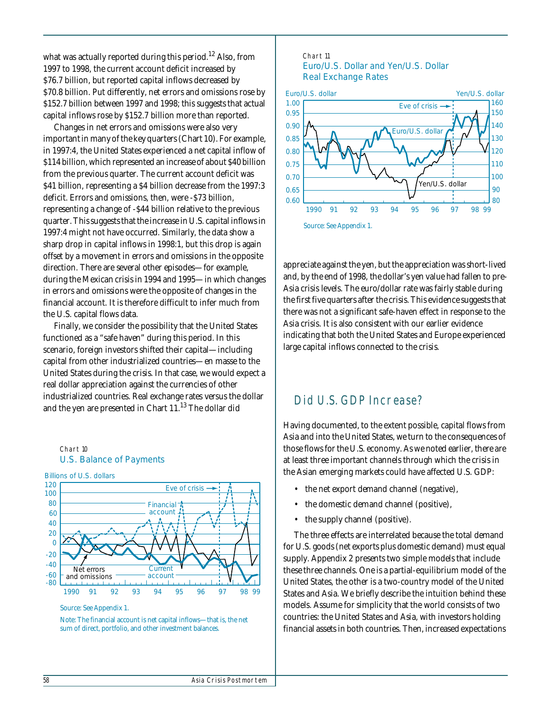what was actually reported during this period.<sup>12</sup> Also, from 1997 to 1998, the current account deficit increased by \$76.7 billion, but reported capital inflows decreased by \$70.8 billion. Put differently, net errors and omissions rose by \$152.7 billion between 1997 and 1998; this suggests that actual capital inflows rose by \$152.7 billion more than reported.

Changes in net errors and omissions were also very important in many of the key quarters (Chart 10). For example, in 1997:4, the United States experienced a net capital inflow of \$114 billion, which represented an increase of about \$40 billion from the previous quarter. The current account deficit was \$41 billion, representing a \$4 billion decrease from the 1997:3 deficit. Errors and omissions, then, were -\$73 billion, representing a change of -\$44 billion relative to the previous quarter. This suggests that the increase in U.S. capital inflows in 1997:4 might not have occurred. Similarly, the data show a sharp drop in capital inflows in 1998:1, but this drop is again offset by a movement in errors and omissions in the opposite direction. There are several other episodes—for example, during the Mexican crisis in 1994 and 1995—in which changes in errors and omissions were the opposite of changes in the financial account. It is therefore difficult to infer much from the U.S. capital flows data.

Finally, we consider the possibility that the United States functioned as a "safe haven" during this period. In this scenario, foreign investors shifted their capital—including capital from other industrialized countries—en masse to the United States during the crisis. In that case, we would expect a real dollar appreciation against the currencies of other industrialized countries. Real exchange rates versus the dollar and the yen are presented in Chart 11.<sup>13</sup> The dollar did



## U.S. Balance of Payments

Chart 10

Note: The financial account is net capital inflows—that is, the net sum of direct, portfolio, and other investment balances.

#### Chart 11 Euro/U.S. Dollar and Yen/U.S. Dollar Real Exchange Rates



appreciate against the yen, but the appreciation was short-lived and, by the end of 1998, the dollar's yen value had fallen to pre-Asia crisis levels. The euro/dollar rate was fairly stable during the first five quarters after the crisis. This evidence suggests that there was not a significant safe-haven effect in response to the Asia crisis. It is also consistent with our earlier evidence indicating that both the United States and Europe experienced large capital inflows connected to the crisis.

## Did U.S. GDP Increase?

Having documented, to the extent possible, capital flows from Asia and into the United States, we turn to the consequences of those flows for the U.S. economy. As we noted earlier, there are at least three important channels through which the crisis in the Asian emerging markets could have affected U.S. GDP:

- the net export demand channel (negative),
- the domestic demand channel (positive),
- the supply channel (positive).

The three effects are interrelated because the total demand for U.S. goods (net exports plus domestic demand) must equal supply. Appendix 2 presents two simple models that include these three channels. One is a partial-equilibrium model of the United States, the other is a two-country model of the United States and Asia. We briefly describe the intuition behind these models. Assume for simplicity that the world consists of two countries: the United States and Asia, with investors holding financial assets in both countries. Then, increased expectations

Source: See Appendix 1.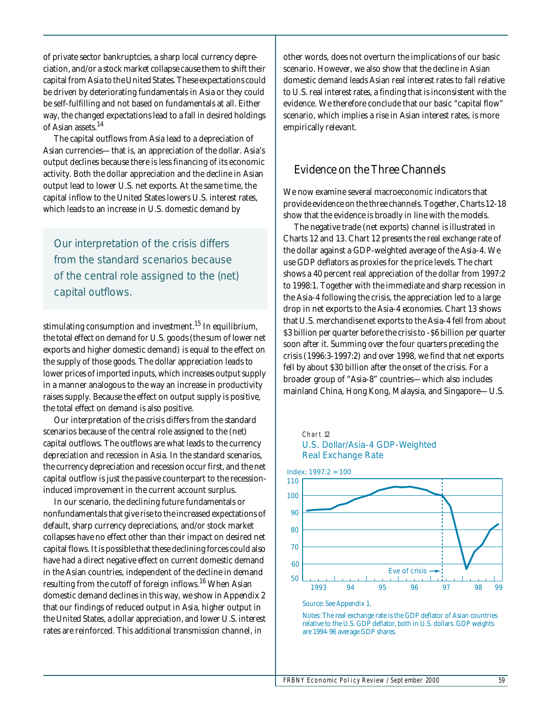of private sector bankruptcies, a sharp local currency depreciation, and/or a stock market collapse cause them to shift their capital from Asia to the United States. These expectations could be driven by deteriorating fundamentals in Asia or they could be self-fulfilling and not based on fundamentals at all. Either way, the changed expectations lead to a fall in desired holdings of Asian assets.<sup>14</sup>

The capital outflows from Asia lead to a depreciation of Asian currencies—that is, an appreciation of the dollar. Asia's output declines because there is less financing of its economic activity. Both the dollar appreciation and the decline in Asian output lead to lower U.S. net exports. At the same time, the capital inflow to the United States lowers U.S. interest rates, which leads to an increase in U.S. domestic demand by

*Our interpretation of the crisis differs from the standard scenarios because of the central role assigned to the (net) capital outflows.*

stimulating consumption and investment.<sup>15</sup> In equilibrium, the total effect on demand for U.S. goods (the sum of lower net exports and higher domestic demand) is equal to the effect on the supply of those goods. The dollar appreciation leads to lower prices of imported inputs, which increases output supply in a manner analogous to the way an increase in productivity raises supply. Because the effect on output supply is positive, the total effect on demand is also positive.

Our interpretation of the crisis differs from the standard scenarios because of the central role assigned to the (net) capital outflows. The outflows are what leads to the currency depreciation and recession in Asia. In the standard scenarios, the currency depreciation and recession occur first, and the net capital outflow is just the passive counterpart to the recessioninduced improvement in the current account surplus.

In our scenario, the declining future fundamentals or nonfundamentals that give rise to the increased expectations of default, sharp currency depreciations, and/or stock market collapses have no effect other than their impact on desired net capital flows. It is possible that these declining forces could also have had a direct negative effect on current domestic demand in the Asian countries, independent of the decline in demand resulting from the cutoff of foreign inflows.<sup>16</sup> When Asian domestic demand declines in this way, we show in Appendix 2 that our findings of reduced output in Asia, higher output in the United States, a dollar appreciation, and lower U.S. interest rates are reinforced. This additional transmission channel, in

other words, does not overturn the implications of our basic scenario. However, we also show that the decline in Asian domestic demand leads Asian real interest rates to fall relative to U.S. real interest rates, a finding that is inconsistent with the evidence. We therefore conclude that our basic "capital flow" scenario, which implies a rise in Asian interest rates, is more empirically relevant.

## Evidence on the Three Channels

We now examine several macroeconomic indicators that provide evidence on the three channels. Together, Charts 12-18 show that the evidence is broadly in line with the models.

The negative trade (net exports) channel is illustrated in Charts 12 and 13. Chart 12 presents the real exchange rate of the dollar against a GDP-weighted average of the Asia-4. We use GDP deflators as proxies for the price levels. The chart shows a 40 percent real appreciation of the dollar from 1997:2 to 1998:1. Together with the immediate and sharp recession in the Asia-4 following the crisis, the appreciation led to a large drop in net exports to the Asia-4 economies. Chart 13 shows that U.S. merchandise net exports to the Asia-4 fell from about \$3 billion per quarter before the crisis to -\$6 billion per quarter soon after it. Summing over the four quarters preceding the crisis (1996:3-1997:2) and over 1998, we find that net exports fell by about \$30 billion after the onset of the crisis. For a broader group of "Asia-8" countries—which also includes mainland China, Hong Kong, Malaysia, and Singapore—U.S.





Source: See Appendix 1.

Notes: The real exchange rate is the GDP deflator of Asian countries relative to the U.S. GDP deflator, both in U.S. dollars. GDP weights are 1994-96 average GDP shares.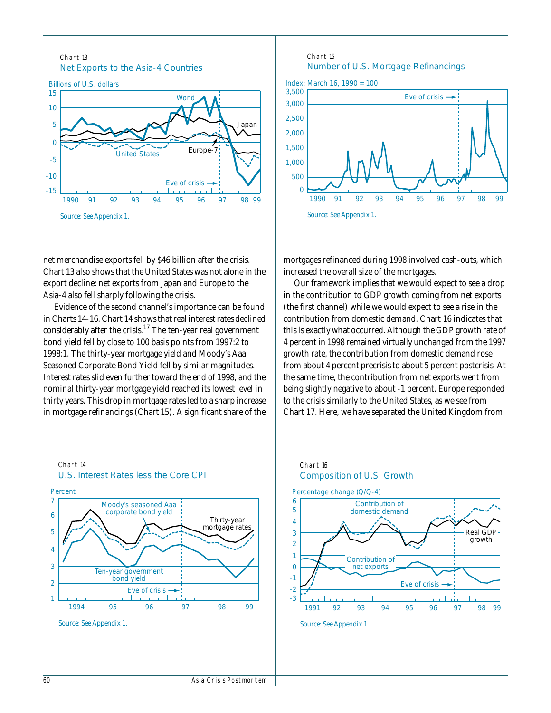#### Chart 13 Net Exports to the Asia-4 Countries



net merchandise exports fell by \$46 billion after the crisis. Chart 13 also shows that the United States was not alone in the export decline: net exports from Japan and Europe to the Asia-4 also fell sharply following the crisis.

Evidence of the second channel's importance can be found in Charts 14-16. Chart 14 shows that real interest rates declined considerably after the crisis.<sup>17</sup> The ten-year real government bond yield fell by close to 100 basis points from 1997:2 to 1998:1. The thirty-year mortgage yield and Moody's Aaa Seasoned Corporate Bond Yield fell by similar magnitudes. Interest rates slid even further toward the end of 1998, and the nominal thirty-year mortgage yield reached its lowest level in thirty years. This drop in mortgage rates led to a sharp increase in mortgage refinancings (Chart 15). A significant share of the





Chart 14

#### Chart 15





mortgages refinanced during 1998 involved cash-outs, which increased the overall size of the mortgages.

Our framework implies that we would expect to see a drop in the contribution to GDP growth coming from net exports (the first channel) while we would expect to see a rise in the contribution from domestic demand. Chart 16 indicates that this is exactly what occurred. Although the GDP growth rate of 4 percent in 1998 remained virtually unchanged from the 1997 growth rate, the contribution from domestic demand rose from about 4 percent precrisis to about 5 percent postcrisis. At the same time, the contribution from net exports went from being slightly negative to about -1 percent. Europe responded to the crisis similarly to the United States, as we see from Chart 17. Here, we have separated the United Kingdom from



#### Chart 16 Composition of U.S. Growth

Source: See Appendix 1.

Source: See Appendix 1.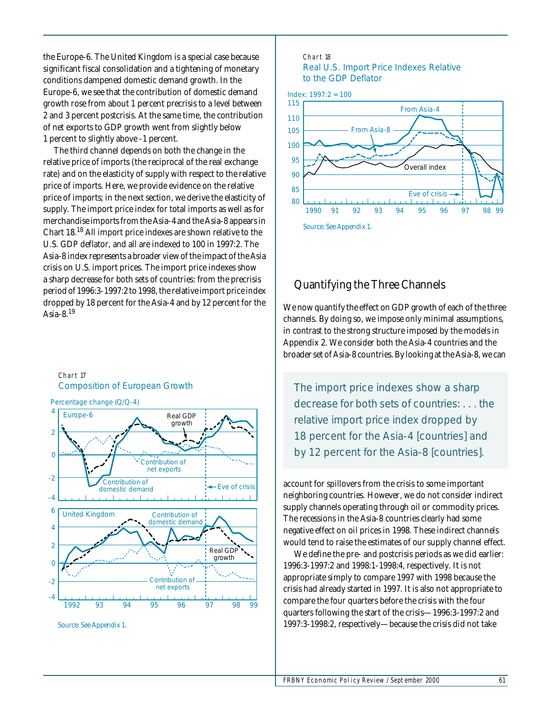the Europe-6. The United Kingdom is a special case because significant fiscal consolidation and a tightening of monetary conditions dampened domestic demand growth. In the Europe-6, we see that the contribution of domestic demand growth rose from about 1 percent precrisis to a level between 2 and 3 percent postcrisis. At the same time, the contribution of net exports to GDP growth went from slightly below 1 percent to slightly above -1 percent.

The third channel depends on both the change in the relative price of imports (the reciprocal of the real exchange rate) and on the elasticity of supply with respect to the relative price of imports. Here, we provide evidence on the relative price of imports; in the next section, we derive the elasticity of supply. The import price index for total imports as well as for merchandise imports from the Asia-4 and the Asia-8 appears in Chart 18.18 All import price indexes are shown relative to the U.S. GDP deflator, and all are indexed to 100 in 1997:2. The Asia-8 index represents a broader view of the impact of the Asia crisis on U.S. import prices. The import price indexes show a sharp decrease for both sets of countries: from the precrisis period of 1996:3-1997:2 to 1998, the relative import price index dropped by 18 percent for the Asia-4 and by 12 percent for the Asia- $8.19$ 

#### Chart 17 Composition of European Growth

Percentage change (Q/Q-4)



Source: See Appendix 1.

#### Chart 18 Real U.S. Import Price Indexes Relative to the GDP Deflator



### Quantifying the Three Channels

We now quantify the effect on GDP growth of each of the three channels. By doing so, we impose only minimal assumptions, in contrast to the strong structure imposed by the models in Appendix 2. We consider both the Asia-4 countries and the broader set of Asia-8 countries. By looking at the Asia-8, we can

*The import price indexes show a sharp decrease for both sets of countries: . . . the relative import price index dropped by 18 percent for the Asia-4 [countries] and by 12 percent for the Asia-8 [countries].*

account for spillovers from the crisis to some important neighboring countries. However, we do not consider indirect supply channels operating through oil or commodity prices. The recessions in the Asia-8 countries clearly had some negative effect on oil prices in 1998. These indirect channels would tend to raise the estimates of our supply channel effect.

We define the pre- and postcrisis periods as we did earlier: 1996:3-1997:2 and 1998:1-1998:4, respectively. It is not appropriate simply to compare 1997 with 1998 because the crisis had already started in 1997. It is also not appropriate to compare the four quarters before the crisis with the four quarters following the start of the crisis—1996:3-1997:2 and 1997:3-1998:2, respectively—because the crisis did not take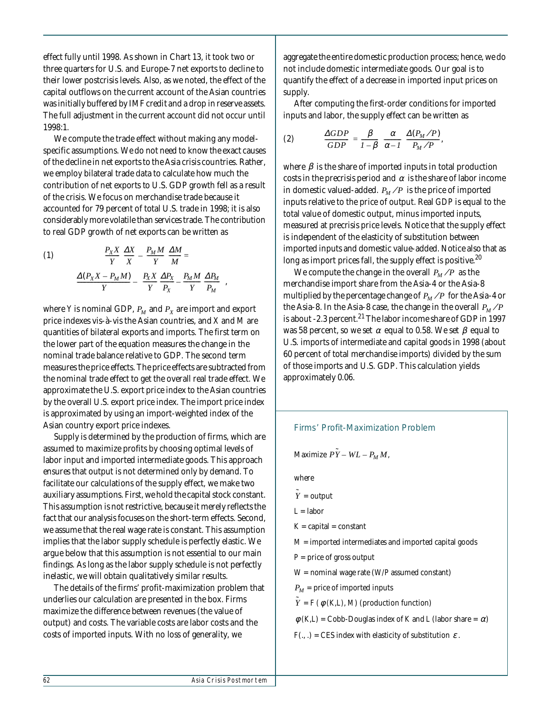effect fully until 1998. As shown in Chart 13, it took two or three quarters for U.S. and Europe-7 net exports to decline to their lower postcrisis levels. Also, as we noted, the effect of the capital outflows on the current account of the Asian countries was initially buffered by IMF credit and a drop in reserve assets. The full adjustment in the current account did not occur until 1998:1.

We compute the trade effect without making any modelspecific assumptions. We do not need to know the exact causes of the decline in net exports to the Asia crisis countries. Rather, we employ bilateral trade data to calculate how much the contribution of net exports to U.S. GDP growth fell as a result of the crisis. We focus on merchandise trade because it accounted for 79 percent of total U.S. trade in 1998; it is also considerably more volatile than services trade. The contribution to real GDP growth of net exports can be written as

(1) 
$$
\frac{P_X X}{Y} \frac{\Delta X}{X} - \frac{P_M M}{Y} \frac{\Delta M}{M} =
$$

$$
\frac{\Delta (P_X X - P_M M)}{Y} - \left(\frac{P_X X}{Y} \frac{\Delta P_X}{P_X} - \frac{P_M M}{Y} \frac{\Delta P_M}{P_M}\right),
$$

where *Y* is nominal GDP,  $P_M$  and  $P_X$  are import and export price indexes vis-à-vis the Asian countries, and *X* and *M* are quantities of bilateral exports and imports. The first term on the lower part of the equation measures the change in the nominal trade balance relative to GDP. The second term measures the price effects. The price effects are subtracted from the nominal trade effect to get the overall real trade effect. We approximate the U.S. export price index to the Asian countries by the overall U.S. export price index. The import price index is approximated by using an import-weighted index of the Asian country export price indexes.

Supply is determined by the production of firms, which are assumed to maximize profits by choosing optimal levels of labor input and imported intermediate goods. This approach ensures that output is not determined only by demand. To facilitate our calculations of the supply effect, we make two auxiliary assumptions. First, we hold the capital stock constant. This assumption is not restrictive, because it merely reflects the fact that our analysis focuses on the short-term effects. Second, we assume that the real wage rate is constant. This assumption implies that the labor supply schedule is perfectly elastic. We argue below that this assumption is not essential to our main findings. As long as the labor supply schedule is not perfectly inelastic, we will obtain qualitatively similar results.

The details of the firms' profit-maximization problem that underlies our calculation are presented in the box. Firms maximize the difference between revenues (the value of output) and costs. The variable costs are labor costs and the costs of imported inputs. With no loss of generality, we

aggregate the entire domestic production process; hence, we do not include domestic intermediate goods. Our goal is to quantify the effect of a decrease in imported input prices on supply.

After computing the first-order conditions for imported inputs and labor, the supply effect can be written as

(2) 
$$
\frac{\Delta GDP}{GDP} = \frac{\beta}{I - \beta} \frac{\alpha}{\alpha - I} \frac{\Delta(P_M/P)}{P_M/P},
$$

where  $\beta$  is the share of imported inputs in total production costs in the precrisis period and  $\alpha$  is the share of labor income in domestic valued-added.  $P_M$  /P  $\,$  is the price of imported inputs relative to the price of output. Real *GDP* is equal to the total value of domestic output, minus imported inputs, measured at precrisis price levels. Notice that the supply effect is independent of the elasticity of substitution between imported inputs and domestic value-added. Notice also that as long as import prices fall, the supply effect is positive.<sup>20</sup>

We compute the change in the overall  $P_M$  /P as the merchandise import share from the Asia-4 or the Asia-8 multiplied by the percentage change of  $P_M\diagup P$  for the Asia-4 or the Asia-8. In the Asia-8 case, the change in the overall  $\mathit{P}_{\mathit{M}}$  / $\mathit{P}$ is about -2.3 percent.<sup>21</sup> The labor income share of GDP in 1997 was 58 percent, so we set  $\alpha$  equal to 0.58. We set  $\beta$  equal to U.S. imports of intermediate and capital goods in 1998 (about 60 percent of total merchandise imports) divided by the sum of those imports and U.S. GDP. This calculation yields approximately 0.06.

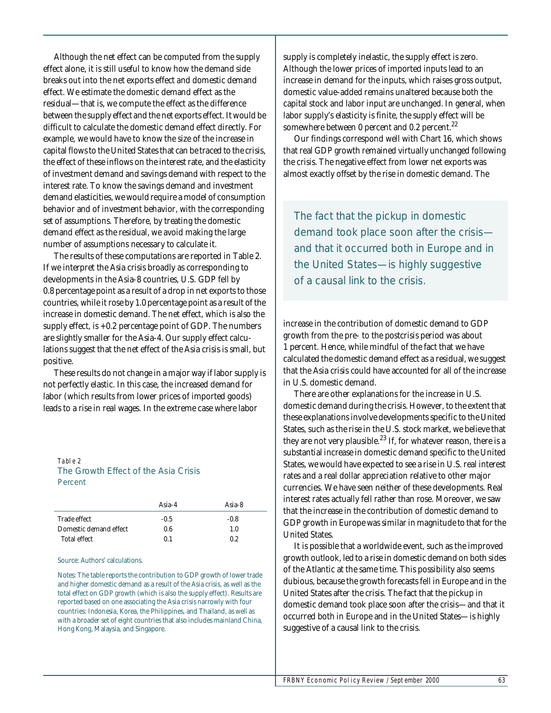Although the net effect can be computed from the supply effect alone, it is still useful to know how the demand side breaks out into the net exports effect and domestic demand effect. We estimate the domestic demand effect as the residual—that is, we compute the effect as the difference between the supply effect and the net exports effect. It would be difficult to calculate the domestic demand effect directly. For example, we would have to know the size of the increase in capital flows to the United States that can be traced to the crisis, the effect of these inflows on the interest rate, and the elasticity of investment demand and savings demand with respect to the interest rate. To know the savings demand and investment demand elasticities, we would require a model of consumption behavior and of investment behavior, with the corresponding set of assumptions. Therefore, by treating the domestic demand effect as the residual, we avoid making the large number of assumptions necessary to calculate it.

The results of these computations are reported in Table 2. If we interpret the Asia crisis broadly as corresponding to developments in the Asia-8 countries, U.S. GDP fell by 0.8 percentage point as a result of a drop in net exports to those countries, while it rose by 1.0 percentage point as a result of the increase in domestic demand. The net effect, which is also the supply effect, is  $+0.2$  percentage point of GDP. The numbers are slightly smaller for the Asia-4. Our supply effect calculations suggest that the net effect of the Asia crisis is small, but positive.

These results do not change in a major way if labor supply is not perfectly elastic. In this case, the increased demand for labor (which results from lower prices of imported goods) leads to a rise in real wages. In the extreme case where labor

Table 2 The Growth Effect of the Asia Crisis Percent

|                        | Asia-4 | Asia-8 |
|------------------------|--------|--------|
| Trade effect           | $-0.5$ | $-0.8$ |
| Domestic demand effect | 0.6    | 1.0    |
| <b>Total effect</b>    | 0.1    | 0.2    |

#### Source: Authors' calculations.

Notes: The table reports the contribution to GDP growth of lower trade and higher domestic demand as a result of the Asia crisis, as well as the total effect on GDP growth (which is also the supply effect). Results are reported based on one associating the Asia crisis narrowly with four countries: Indonesia, Korea, the Philippines, and Thailand, as well as with a broader set of eight countries that also includes mainland China, Hong Kong, Malaysia, and Singapore.

supply is completely inelastic, the supply effect is zero. Although the lower prices of imported inputs lead to an increase in demand for the inputs, which raises gross output, domestic value-added remains unaltered because both the capital stock and labor input are unchanged. In general, when labor supply's elasticity is finite, the supply effect will be somewhere between 0 percent and 0.2 percent.<sup>22</sup>

Our findings correspond well with Chart 16, which shows that real GDP growth remained virtually unchanged following the crisis. The negative effect from lower net exports was almost exactly offset by the rise in domestic demand. The

*The fact that the pickup in domestic demand took place soon after the crisis and that it occurred both in Europe and in the United States—is highly suggestive of a causal link to the crisis.*

increase in the contribution of domestic demand to GDP growth from the pre- to the postcrisis period was about 1 percent. Hence, while mindful of the fact that we have calculated the domestic demand effect as a residual, we suggest that the Asia crisis could have accounted for all of the increase in U.S. domestic demand.

There are other explanations for the increase in U.S. domestic demand during the crisis. However, to the extent that these explanations involve developments specific to the United States, such as the rise in the U.S. stock market, we believe that they are not very plausible.<sup>23</sup> If, for whatever reason, there is a substantial increase in domestic demand specific to the United States, we would have expected to see a rise in U.S. real interest rates and a real dollar appreciation relative to other major currencies. We have seen neither of these developments. Real interest rates actually fell rather than rose. Moreover, we saw that the increase in the contribution of domestic demand to GDP growth in Europe was similar in magnitude to that for the United States.

It is possible that a worldwide event, such as the improved growth outlook, led to a rise in domestic demand on both sides of the Atlantic at the same time. This possibility also seems dubious, because the growth forecasts fell in Europe and in the United States after the crisis. The fact that the pickup in domestic demand took place soon after the crisis—and that it occurred both in Europe and in the United States—is highly suggestive of a causal link to the crisis.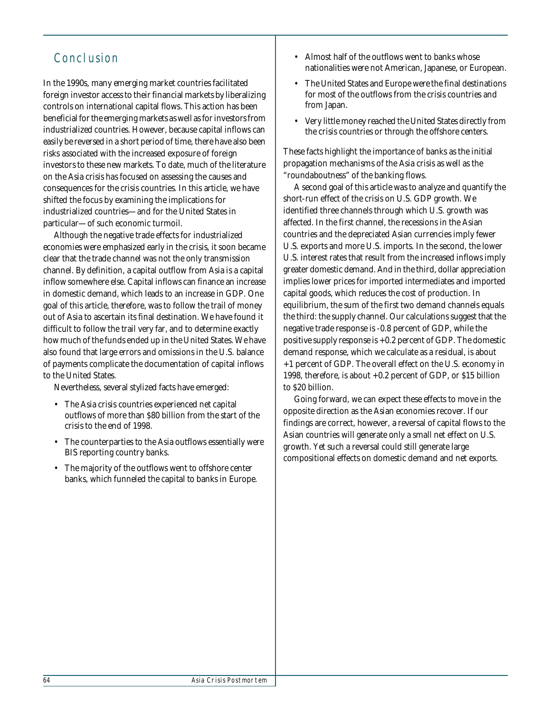## Conclusion

In the 1990s, many emerging market countries facilitated foreign investor access to their financial markets by liberalizing controls on international capital flows. This action has been beneficial for the emerging markets as well as for investors from industrialized countries. However, because capital inflows can easily be reversed in a short period of time, there have also been risks associated with the increased exposure of foreign investors to these new markets. To date, much of the literature on the Asia crisis has focused on assessing the causes and consequences for the crisis countries. In this article, we have shifted the focus by examining the implications for industrialized countries—and for the United States in particular—of such economic turmoil.

Although the negative trade effects for industrialized economies were emphasized early in the crisis, it soon became clear that the trade channel was not the only transmission channel. By definition, a capital outflow from Asia is a capital inflow somewhere else. Capital inflows can finance an increase in domestic demand, which leads to an increase in GDP. One goal of this article, therefore, was to follow the trail of money out of Asia to ascertain its final destination. We have found it difficult to follow the trail very far, and to determine exactly how much of the funds ended up in the United States. We have also found that large errors and omissions in the U.S. balance of payments complicate the documentation of capital inflows to the United States.

Nevertheless, several stylized facts have emerged:

- The Asia crisis countries experienced net capital outflows of more than \$80 billion from the start of the crisis to the end of 1998.
- The counterparties to the Asia outflows essentially were BIS reporting country banks.
- The majority of the outflows went to offshore center banks, which funneled the capital to banks in Europe.
- Almost half of the outflows went to banks whose nationalities were not American, Japanese, or European.
- The United States and Europe were the final destinations for most of the outflows from the crisis countries and from Japan.
- Very little money reached the United States directly from the crisis countries or through the offshore centers.

These facts highlight the importance of banks as the initial propagation mechanisms of the Asia crisis as well as the "roundaboutness" of the banking flows.

A second goal of this article was to analyze and quantify the short-run effect of the crisis on U.S. GDP growth. We identified three channels through which U.S. growth was affected. In the first channel, the recessions in the Asian countries and the depreciated Asian currencies imply fewer U.S. exports and more U.S. imports. In the second, the lower U.S. interest rates that result from the increased inflows imply greater domestic demand. And in the third, dollar appreciation implies lower prices for imported intermediates and imported capital goods, which reduces the cost of production. In equilibrium, the sum of the first two demand channels equals the third: the supply channel. Our calculations suggest that the negative trade response is -0.8 percent of GDP, while the positive supply response is +0.2 percent of GDP. The domestic demand response, which we calculate as a residual, is about +1 percent of GDP. The overall effect on the U.S. economy in 1998, therefore, is about +0.2 percent of GDP, or \$15 billion to \$20 billion.

Going forward, we can expect these effects to move in the opposite direction as the Asian economies recover. If our findings are correct, however, a reversal of capital flows to the Asian countries will generate only a small net effect on U.S. growth. Yet such a reversal could still generate large compositional effects on domestic demand and net exports.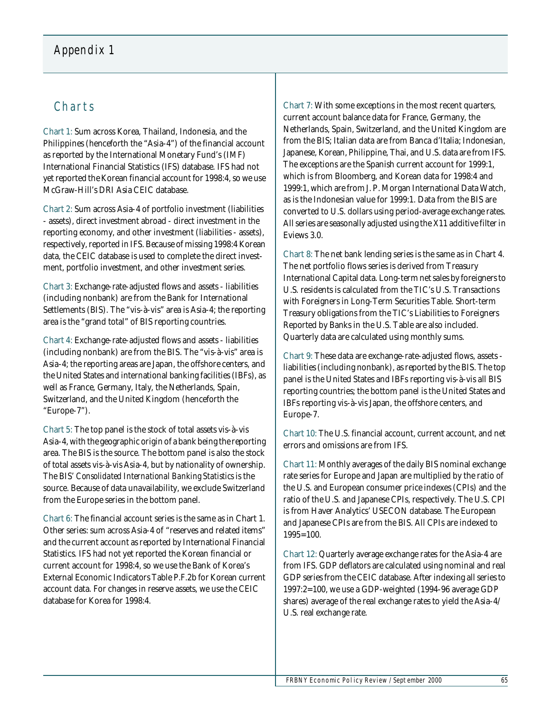## Appendix 1

## **Charts**

Chart 1: Sum across Korea, Thailand, Indonesia, and the Philippines (henceforth the "Asia-4") of the financial account as reported by the International Monetary Fund's (IMF) International Financial Statistics (IFS) database. IFS had not yet reported the Korean financial account for 1998:4, so we use McGraw-Hill's DRI Asia CEIC database.

Chart 2: Sum across Asia-4 of portfolio investment (liabilities - assets), direct investment abroad - direct investment in the reporting economy, and other investment (liabilities - assets), respectively, reported in IFS. Because of missing 1998:4 Korean data, the CEIC database is used to complete the direct investment, portfolio investment, and other investment series.

Chart 3: Exchange-rate-adjusted flows and assets - liabilities (including nonbank) are from the Bank for International Settlements (BIS). The "vis-à-vis" area is Asia-4; the reporting area is the "grand total" of BIS reporting countries.

Chart 4: Exchange-rate-adjusted flows and assets - liabilities (including nonbank) are from the BIS. The "vis-à-vis" area is Asia-4; the reporting areas are Japan, the offshore centers, and the United States and international banking facilities (IBFs), as well as France, Germany, Italy, the Netherlands, Spain, Switzerland, and the United Kingdom (henceforth the "Europe-7").

Chart 5: The top panel is the stock of total assets vis-à-vis Asia-4, with the geographic origin of a bank being the reporting area. The BIS is the source. The bottom panel is also the stock of total assets vis-à-vis Asia-4, but by nationality of ownership. The BIS' *Consolidated International Banking Statistics* is the source. Because of data unavailability, we exclude Switzerland from the Europe series in the bottom panel.

Chart 6: The financial account series is the same as in Chart 1. Other series: sum across Asia-4 of "reserves and related items" and the current account as reported by International Financial Statistics. IFS had not yet reported the Korean financial or current account for 1998:4, so we use the Bank of Korea's External Economic Indicators Table P.F.2b for Korean current account data. For changes in reserve assets, we use the CEIC database for Korea for 1998:4.

Chart 7: With some exceptions in the most recent quarters, current account balance data for France, Germany, the Netherlands, Spain, Switzerland, and the United Kingdom are from the BIS; Italian data are from Banca d'Italia; Indonesian, Japanese, Korean, Philippine, Thai, and U.S. data are from IFS. The exceptions are the Spanish current account for 1999:1, which is from Bloomberg, and Korean data for 1998:4 and 1999:1, which are from J. P. Morgan International Data Watch, as is the Indonesian value for 1999:1. Data from the BIS are converted to U.S. dollars using period-average exchange rates. All series are seasonally adjusted using the X11 additive filter in Eviews 3.0.

Chart 8: The net bank lending series is the same as in Chart 4. The net portfolio flows series is derived from Treasury International Capital data. Long-term net sales by foreigners to U.S. residents is calculated from the TIC's U.S. Transactions with Foreigners in Long-Term Securities Table. Short-term Treasury obligations from the TIC's Liabilities to Foreigners Reported by Banks in the U.S. Table are also included. Quarterly data are calculated using monthly sums.

Chart 9: These data are exchange-rate-adjusted flows, assets liabilities (including nonbank), as reported by the BIS. The top panel is the United States and IBFs reporting vis-à-vis all BIS reporting countries; the bottom panel is the United States and IBFs reporting vis-à-vis Japan, the offshore centers, and Europe-7.

Chart 10: The U.S. financial account, current account, and net errors and omissions are from IFS.

Chart 11: Monthly averages of the daily BIS nominal exchange rate series for Europe and Japan are multiplied by the ratio of the U.S. and European consumer price indexes (CPIs) and the ratio of the U.S. and Japanese CPIs, respectively. The U.S. CPI is from Haver Analytics' USECON database. The European and Japanese CPIs are from the BIS. All CPIs are indexed to 1995=100.

Chart 12: Quarterly average exchange rates for the Asia-4 are from IFS. GDP deflators are calculated using nominal and real GDP series from the CEIC database. After indexing all series to 1997:2=100, we use a GDP-weighted (1994-96 average GDP shares) average of the real exchange rates to yield the Asia-4/ U.S. real exchange rate.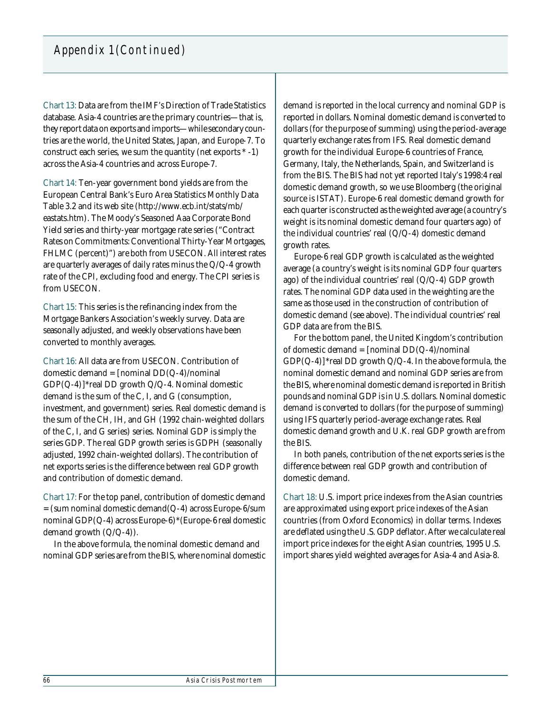Chart 13: Data are from the IMF's Direction of Trade Statistics database. Asia-4 countries are the primary countries—that is, they report data on exports and imports—while secondary countries are the world, the United States, Japan, and Europe-7. To construct each series, we sum the quantity (net exports \* -1) across the Asia-4 countries and across Europe-7.

Chart 14: Ten-year government bond yields are from the European Central Bank's Euro Area Statistics Monthly Data Table 3.2 and its web site (http://www.ecb.int/stats/mb/ eastats.htm). The Moody's Seasoned Aaa Corporate Bond Yield series and thirty-year mortgage rate series ("Contract Rates on Commitments: Conventional Thirty-Year Mortgages, FHLMC (percent)") are both from USECON. All interest rates are quarterly averages of daily rates minus the Q/Q-4 growth rate of the CPI, excluding food and energy. The CPI series is from USECON.

Chart 15: This series is the refinancing index from the Mortgage Bankers Association's weekly survey. Data are seasonally adjusted, and weekly observations have been converted to monthly averages.

Chart 16: All data are from USECON. Contribution of domestic demand =  $[nominal DD(Q-4)/nominal]$ GDP(Q-4)]\*real DD growth Q/Q-4. Nominal domestic demand is the sum of the C, I, and G (consumption, investment, and government) series. Real domestic demand is the sum of the CH, IH, and GH (1992 chain-weighted dollars of the C, I, and G series) series. Nominal GDP is simply the series GDP. The real GDP growth series is GDPH (seasonally adjusted, 1992 chain-weighted dollars). The contribution of net exports series is the difference between real GDP growth and contribution of domestic demand.

Chart 17: For the top panel, contribution of domestic demand  $=$  (sum nominal domestic demand  $(Q-4)$  across Europe-6/sum nominal GDP(Q-4) across Europe-6)\*(Europe-6 real domestic demand growth (Q/Q-4)).

In the above formula, the nominal domestic demand and nominal GDP series are from the BIS, where nominal domestic demand is reported in the local currency and nominal GDP is reported in dollars. Nominal domestic demand is converted to dollars (for the purpose of summing) using the period-average quarterly exchange rates from IFS. Real domestic demand growth for the individual Europe-6 countries of France, Germany, Italy, the Netherlands, Spain, and Switzerland is from the BIS. The BIS had not yet reported Italy's 1998:4 real domestic demand growth, so we use Bloomberg (the original source is ISTAT). Europe-6 real domestic demand growth for each quarter is constructed as the weighted average (a country's weight is its nominal domestic demand four quarters ago) of the individual countries' real (Q/Q-4) domestic demand growth rates.

Europe-6 real GDP growth is calculated as the weighted average (a country's weight is its nominal GDP four quarters ago) of the individual countries' real (Q/Q-4) GDP growth rates. The nominal GDP data used in the weighting are the same as those used in the construction of contribution of domestic demand (see above). The individual countries' real GDP data are from the BIS.

For the bottom panel, the United Kingdom's contribution of domestic demand = [nominal DD(Q-4)/nominal  $GDP(Q-4)$ <sup>\*</sup>real DD growth  $Q/Q-4$ . In the above formula, the nominal domestic demand and nominal GDP series are from the BIS, where nominal domestic demand is reported in British pounds and nominal GDP is in U.S. dollars. Nominal domestic demand is converted to dollars (for the purpose of summing) using IFS quarterly period-average exchange rates. Real domestic demand growth and U.K. real GDP growth are from the BIS.

In both panels, contribution of the net exports series is the difference between real GDP growth and contribution of domestic demand.

Chart 18: U.S. import price indexes from the Asian countries are approximated using export price indexes of the Asian countries (from Oxford Economics) in dollar terms. Indexes are deflated using the U.S. GDP deflator. After we calculate real import price indexes for the eight Asian countries, 1995 U.S. import shares yield weighted averages for Asia-4 and Asia-8.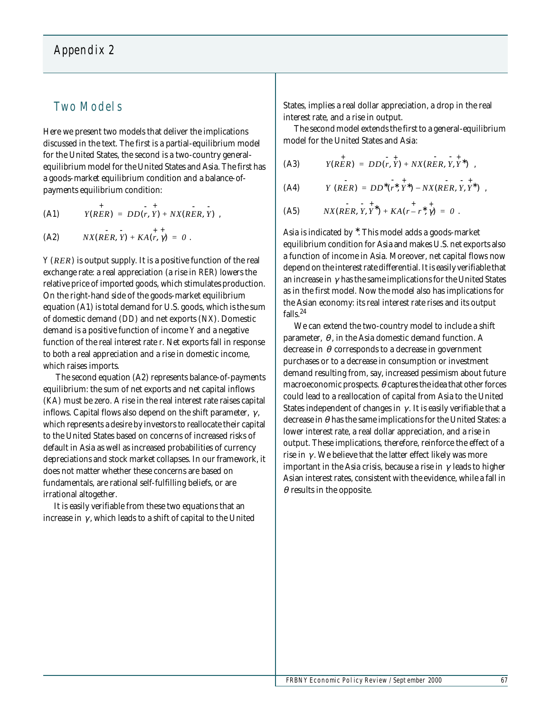## Appendix 2

## Two Models

Here we present two models that deliver the implications discussed in the text. The first is a partial-equilibrium model for the United States, the second is a two-country generalequilibrium model for the United States and Asia. The first has a goods-market equilibrium condition and a balance-ofpayments equilibrium condition:

(A1) 
$$
Y(RER) = DD(r, Y) + NX(RER, Y),
$$

(A2) 
$$
NX(RER, Y) + KA(r, \gamma) = 0
$$
.

*Y* (*RER*) is output supply. It is a positive function of the real exchange rate: a real appreciation (a rise in *RER*) lowers the relative price of imported goods, which stimulates production. On the right-hand side of the goods-market equilibrium equation (A1) is total demand for U.S. goods, which is the sum of domestic demand (*DD*) and net exports (*NX*). Domestic demand is a positive function of income *Y* and a negative function of the real interest rate *r*. Net exports fall in response to both a real appreciation and a rise in domestic income, which raises imports.

 The second equation (A2) represents balance-of-payments equilibrium: the sum of net exports and net capital inflows (*KA*) must be zero. A rise in the real interest rate raises capital inflows. Capital flows also depend on the shift parameter,  $\gamma$ , which represents a desire by investors to reallocate their capital to the United States based on concerns of increased risks of default in Asia as well as increased probabilities of currency depreciations and stock market collapses. In our framework, it does not matter whether these concerns are based on fundamentals, are rational self-fulfilling beliefs, or are irrational altogether.

It is easily verifiable from these two equations that an increase in  $\gamma$ , which leads to a shift of capital to the United States, implies a real dollar appreciation, a drop in the real interest rate, and a rise in output.

The second model extends the first to a general-equilibrium model for the United States and Asia:

(A3) 
$$
Y(RER) = DD(r, Y) + NX(RER, Y, Y^*)
$$

(A4) 
$$
Y (RER) = DD^*(r^*, r^*) - NX (RER, Y, r^*)
$$
,

(A5) 
$$
NX(RER, Y, Y^*) + KA(r-r^*, \gamma) = 0
$$
.

Asia is indicated by  $*$ . This model adds a goods-market equilibrium condition for Asia and makes U.S. net exports also a function of income in Asia. Moreover, net capital flows now depend on the interest rate differential. It is easily verifiable that an increase in  $\gamma$  has the same implications for the United States  $\;$ as in the first model. Now the model also has implications for the Asian economy: its real interest rate rises and its output falls.<sup>24</sup>

We can extend the two-country model to include a shift parameter,  $\theta$ , in the Asia domestic demand function. A decrease in  $\theta$  corresponds to a decrease in government purchases or to a decrease in consumption or investment demand resulting from, say, increased pessimism about future macroeconomic prospects.  $\theta$  captures the idea that other forces could lead to a reallocation of capital from Asia to the United States independent of changes in  $\gamma.$  It is easily verifiable that a decrease in  $\theta$  has the same implications for the United States: a lower interest rate, a real dollar appreciation, and a rise in output. These implications, therefore, reinforce the effect of a rise in  $\gamma.$  We believe that the latter effect likely was more important in the Asia crisis, because a rise in  $\gamma$  leads to higher Asian interest rates, consistent with the evidence, while a fall in  $\theta$  results in the opposite.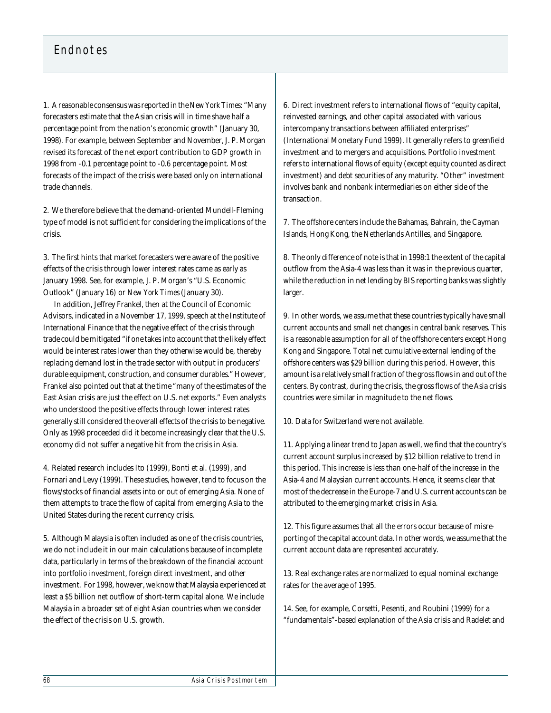## Endnotes

1. A reasonable consensus was reported in the *New York Times*: "Many forecasters estimate that the Asian crisis will in time shave half a percentage point from the nation's economic growth" (January 30, 1998). For example, between September and November, J. P. Morgan revised its forecast of the net export contribution to GDP growth in 1998 from -0.1 percentage point to -0.6 percentage point. Most forecasts of the impact of the crisis were based only on international trade channels.

2. We therefore believe that the demand-oriented Mundell-Fleming type of model is not sufficient for considering the implications of the crisis.

3. The first hints that market forecasters were aware of the positive effects of the crisis through lower interest rates came as early as January 1998. See, for example, J. P. Morgan's "U.S. Economic Outlook" (January 16) or *New York Times* (January 30).

In addition, Jeffrey Frankel, then at the Council of Economic Advisors, indicated in a November 17, 1999, speech at the Institute of International Finance that the negative effect of the crisis through trade could be mitigated "if one takes into account that the likely effect would be interest rates lower than they otherwise would be, thereby replacing demand lost in the trade sector with output in producers' durable equipment, construction, and consumer durables." However, Frankel also pointed out that at the time "many of the estimates of the East Asian crisis are just the effect on U.S. net exports." Even analysts who understood the positive effects through lower interest rates generally still considered the overall effects of the crisis to be negative. Only as 1998 proceeded did it become increasingly clear that the U.S. economy did not suffer a negative hit from the crisis in Asia.

4. Related research includes Ito (1999), Bonti et al. (1999), and Fornari and Levy (1999). These studies, however, tend to focus on the flows/stocks of financial assets into or out of emerging Asia. None of them attempts to trace the flow of capital from emerging Asia to the United States during the recent currency crisis.

5. Although Malaysia is often included as one of the crisis countries, we do not include it in our main calculations because of incomplete data, particularly in terms of the breakdown of the financial account into portfolio investment, foreign direct investment, and other investment. For 1998, however, we know that Malaysia experienced at least a \$5 billion net outflow of short-term capital alone. We include Malaysia in a broader set of eight Asian countries when we consider the effect of the crisis on U.S. growth.

6. Direct investment refers to international flows of "equity capital, reinvested earnings, and other capital associated with various intercompany transactions between affiliated enterprises" (International Monetary Fund 1999). It generally refers to greenfield investment and to mergers and acquisitions. Portfolio investment refers to international flows of equity (except equity counted as direct investment) and debt securities of any maturity. "Other" investment involves bank and nonbank intermediaries on either side of the transaction.

7. The offshore centers include the Bahamas, Bahrain, the Cayman Islands, Hong Kong, the Netherlands Antilles, and Singapore.

8. The only difference of note is that in 1998:1 the extent of the capital outflow from the Asia-4 was less than it was in the previous quarter, while the reduction in net lending by BIS reporting banks was slightly larger.

9. In other words, we assume that these countries typically have small current accounts and small net changes in central bank reserves. This is a reasonable assumption for all of the offshore centers except Hong Kong and Singapore. Total net cumulative external lending of the offshore centers was \$29 billion during this period. However, this amount is a relatively small fraction of the gross flows in and out of the centers. By contrast, during the crisis, the gross flows of the Asia crisis countries were similar in magnitude to the net flows.

10. Data for Switzerland were not available.

11. Applying a linear trend to Japan as well, we find that the country's current account surplus increased by \$12 billion relative to trend in this period. This increase is less than one-half of the increase in the Asia-4 and Malaysian current accounts. Hence, it seems clear that most of the decrease in the Europe-7 and U.S. current accounts can be attributed to the emerging market crisis in Asia.

12. This figure assumes that all the errors occur because of misreporting of the capital account data. In other words, we assume that the current account data are represented accurately.

13. Real exchange rates are normalized to equal nominal exchange rates for the average of 1995.

14. See, for example, Corsetti, Pesenti, and Roubini (1999) for a "fundamentals"-based explanation of the Asia crisis and Radelet and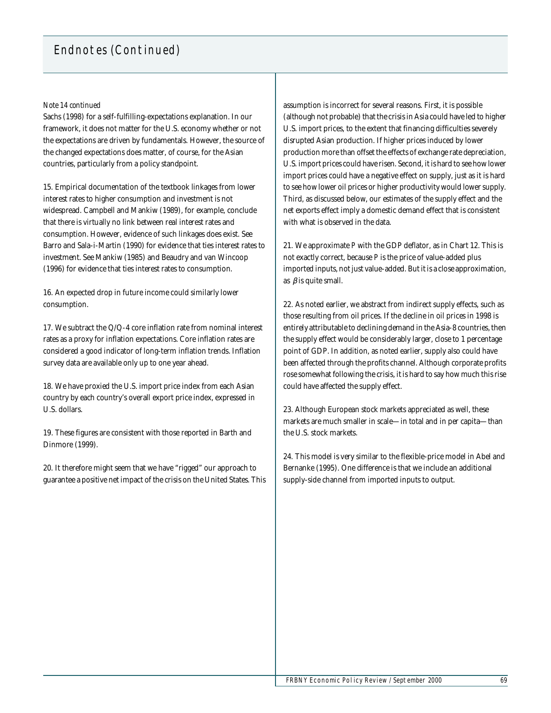## Endnotes (Continued)

#### *Note 14 continued*

Sachs (1998) for a self-fulfilling-expectations explanation. In our framework, it does not matter for the U.S. economy whether or not the expectations are driven by fundamentals. However, the source of the changed expectations does matter, of course, for the Asian countries, particularly from a policy standpoint.

15. Empirical documentation of the textbook linkages from lower interest rates to higher consumption and investment is not widespread. Campbell and Mankiw (1989), for example, conclude that there is virtually no link between real interest rates and consumption. However, evidence of such linkages does exist. See Barro and Sala-i-Martin (1990) for evidence that ties interest rates to investment. See Mankiw (1985) and Beaudry and van Wincoop (1996) for evidence that ties interest rates to consumption.

16. An expected drop in future income could similarly lower consumption.

17. We subtract the Q/Q-4 core inflation rate from nominal interest rates as a proxy for inflation expectations. Core inflation rates are considered a good indicator of long-term inflation trends. Inflation survey data are available only up to one year ahead.

18. We have proxied the U.S. import price index from each Asian country by each country's overall export price index, expressed in U.S. dollars.

19. These figures are consistent with those reported in Barth and Dinmore (1999).

20. It therefore might seem that we have "rigged" our approach to guarantee a positive net impact of the crisis on the United States. This assumption is incorrect for several reasons. First, it is possible (although not probable) that the crisis in Asia could have led to higher U.S. import prices, to the extent that financing difficulties severely disrupted Asian production. If higher prices induced by lower production more than offset the effects of exchange rate depreciation, U.S. import prices could have risen. Second, it is hard to see how lower import prices could have a negative effect on supply, just as it is hard to see how lower oil prices or higher productivity would lower supply. Third, as discussed below, our estimates of the supply effect and the net exports effect imply a domestic demand effect that is consistent with what is observed in the data.

21. We approximate *P* with the GDP deflator, as in Chart 12. This is not exactly correct, because *P* is the price of value-added plus imported inputs, not just value-added. But it is a close approximation, as  $\beta$  is quite small.

22. As noted earlier, we abstract from indirect supply effects, such as those resulting from oil prices. If the decline in oil prices in 1998 is entirely attributable to declining demand in the Asia-8 countries, then the supply effect would be considerably larger, close to 1 percentage point of GDP. In addition, as noted earlier, supply also could have been affected through the profits channel. Although corporate profits rose somewhat following the crisis, it is hard to say how much this rise could have affected the supply effect.

23. Although European stock markets appreciated as well, these markets are much smaller in scale—in total and in per capita—than the U.S. stock markets.

24. This model is very similar to the flexible-price model in Abel and Bernanke (1995). One difference is that we include an additional supply-side channel from imported inputs to output.